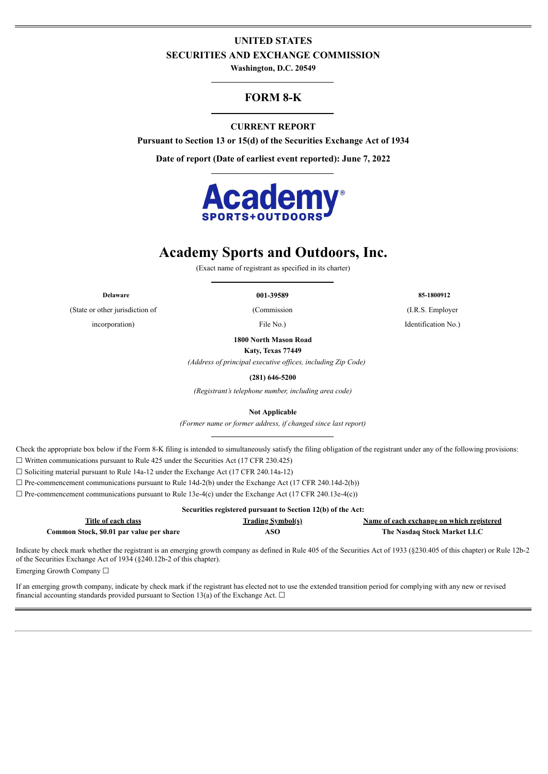# **UNITED STATES SECURITIES AND EXCHANGE COMMISSION**

**Washington, D.C. 20549**

# **FORM 8-K**

# **CURRENT REPORT**

**Pursuant to Section 13 or 15(d) of the Securities Exchange Act of 1934**

**Date of report (Date of earliest event reported): June 7, 2022**



# **Academy Sports and Outdoors, Inc.**

(Exact name of registrant as specified in its charter)

(State or other jurisdiction of (Commission (I.R.S. Employer incorporation) File No.) File No. 1 dentification No.

**1800 North Mason Road**

**Katy, Texas 77449**

*(Address of principal executive offices, including Zip Code)*

**(281) 646-5200**

*(Registrant's telephone number, including area code)*

**Not Applicable**

*(Former name or former address, if changed since last report)*

Check the appropriate box below if the Form 8-K filing is intended to simultaneously satisfy the filing obligation of the registrant under any of the following provisions:  $\Box$  Written communications pursuant to Rule 425 under the Securities Act (17 CFR 230.425)

☐ Soliciting material pursuant to Rule 14a-12 under the Exchange Act (17 CFR 240.14a-12)

 $\Box$  Pre-commencement communications pursuant to Rule 14d-2(b) under the Exchange Act (17 CFR 240.14d-2(b))

 $\Box$  Pre-commencement communications pursuant to Rule 13e-4(c) under the Exchange Act (17 CFR 240.13e-4(c))

| Securities registered pursuant to Section 12(b) of the Act: |                          |                                           |  |  |  |  |  |
|-------------------------------------------------------------|--------------------------|-------------------------------------------|--|--|--|--|--|
| Title of each class                                         | <b>Trading Symbol(s)</b> | Name of each exchange on which registered |  |  |  |  |  |
| Common Stock, \$0.01 par value per share                    | ASO                      | The Nasdaq Stock Market LLC               |  |  |  |  |  |

Indicate by check mark whether the registrant is an emerging growth company as defined in Rule 405 of the Securities Act of 1933 (§230.405 of this chapter) or Rule 12b-2 of the Securities Exchange Act of 1934 (§240.12b-2 of this chapter).

Emerging Growth Company ☐

If an emerging growth company, indicate by check mark if the registrant has elected not to use the extended transition period for complying with any new or revised financial accounting standards provided pursuant to Section 13(a) of the Exchange Act.  $\Box$ 

**Delaware 001-39589 85-1800912**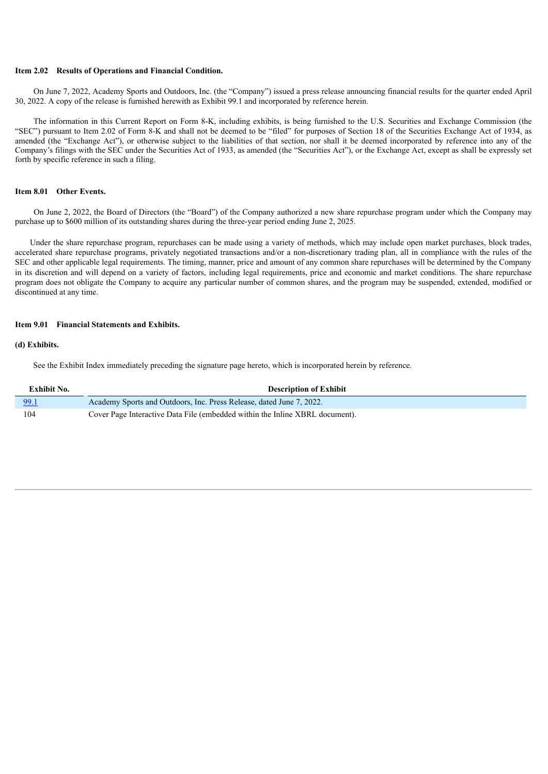#### **Item 2.02 Results of Operations and Financial Condition.**

On June 7, 2022, Academy Sports and Outdoors, Inc. (the "Company") issued a press release announcing financial results for the quarter ended April 30, 2022. A copy of the release is furnished herewith as Exhibit 99.1 and incorporated by reference herein.

The information in this Current Report on Form 8-K, including exhibits, is being furnished to the U.S. Securities and Exchange Commission (the "SEC") pursuant to Item 2.02 of Form 8-K and shall not be deemed to be "filed" for purposes of Section 18 of the Securities Exchange Act of 1934, as amended (the "Exchange Act"), or otherwise subject to the liabilities of that section, nor shall it be deemed incorporated by reference into any of the Company's filings with the SEC under the Securities Act of 1933, as amended (the "Securities Act"), or the Exchange Act, except as shall be expressly set forth by specific reference in such a filing.

#### **Item 8.01 Other Events.**

On June 2, 2022, the Board of Directors (the "Board") of the Company authorized a new share repurchase program under which the Company may purchase up to \$600 million of its outstanding shares during the three-year period ending June 2, 2025.

Under the share repurchase program, repurchases can be made using a variety of methods, which may include open market purchases, block trades, accelerated share repurchase programs, privately negotiated transactions and/or a non-discretionary trading plan, all in compliance with the rules of the SEC and other applicable legal requirements. The timing, manner, price and amount of any common share repurchases will be determined by the Company in its discretion and will depend on a variety of factors, including legal requirements, price and economic and market conditions. The share repurchase program does not obligate the Company to acquire any particular number of common shares, and the program may be suspended, extended, modified or discontinued at any time.

#### **Item 9.01 Financial Statements and Exhibits.**

#### **(d) Exhibits.**

See the Exhibit Index immediately preceding the signature page hereto, which is incorporated herein by reference.

| Exhibit No. | <b>Description of Exhibit</b>                                                |
|-------------|------------------------------------------------------------------------------|
| 99.1        | Academy Sports and Outdoors, Inc. Press Release, dated June 7, 2022.         |
| 104         | Cover Page Interactive Data File (embedded within the Inline XBRL document). |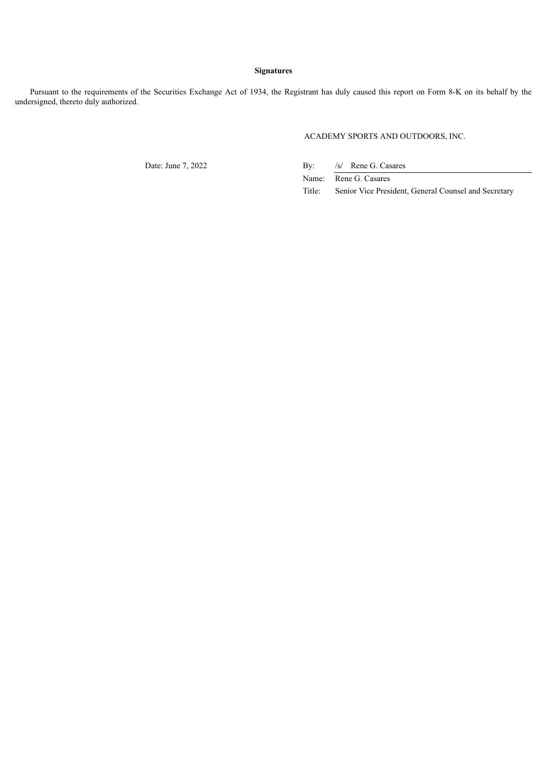### **Signatures**

Pursuant to the requirements of the Securities Exchange Act of 1934, the Registrant has duly caused this report on Form 8-K on its behalf by the undersigned, thereto duly authorized.

ACADEMY SPORTS AND OUTDOORS, INC.

Date: June 7, 2022 By: /s/ Rene G. Casares

Name: Rene G. Casares

Title: Senior Vice President, General Counsel and Secretary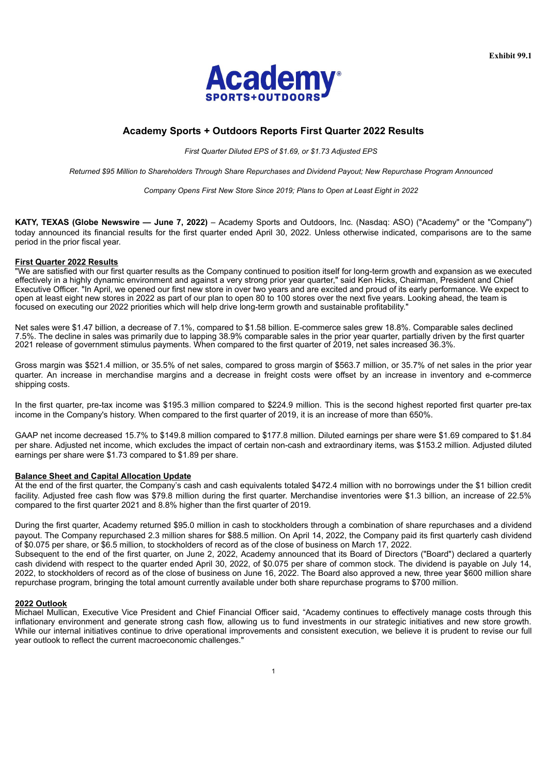

# <span id="page-3-0"></span>**Academy Sports + Outdoors Reports First Quarter 2022 Results**

*First Quarter Diluted EPS of \$1.69, or \$1.73 Adjusted EPS*

*Returned \$95 Million to Shareholders Through Share Repurchases and Dividend Payout; New Repurchase Program Announced*

*Company Opens First New Store Since 2019; Plans to Open at Least Eight in 2022*

**KATY, TEXAS (Globe Newswire — June 7, 2022)** – Academy Sports and Outdoors, Inc. (Nasdaq: ASO) ("Academy" or the "Company") today announced its financial results for the first quarter ended April 30, 2022. Unless otherwise indicated, comparisons are to the same period in the prior fiscal year.

#### **First Quarter 2022 Results**

"We are satisfied with our first quarter results as the Company continued to position itself for long-term growth and expansion as we executed effectively in a highly dynamic environment and against a very strong prior year quarter," said Ken Hicks, Chairman, President and Chief Executive Officer. "In April, we opened our first new store in over two years and are excited and proud of its early performance. We expect to open at least eight new stores in 2022 as part of our plan to open 80 to 100 stores over the next five years. Looking ahead, the team is focused on executing our 2022 priorities which will help drive long-term growth and sustainable profitability."

Net sales were \$1.47 billion, a decrease of 7.1%, compared to \$1.58 billion. E-commerce sales grew 18.8%. Comparable sales declined 7.5%. The decline in sales was primarily due to lapping 38.9% comparable sales in the prior year quarter, partially driven by the first quarter 2021 release of government stimulus payments. When compared to the first quarter of 2019, net sales increased 36.3%.

Gross margin was \$521.4 million, or 35.5% of net sales, compared to gross margin of \$563.7 million, or 35.7% of net sales in the prior year quarter. An increase in merchandise margins and a decrease in freight costs were offset by an increase in inventory and e-commerce shipping costs.

In the first quarter, pre-tax income was \$195.3 million compared to \$224.9 million. This is the second highest reported first quarter pre-tax income in the Company's history. When compared to the first quarter of 2019, it is an increase of more than 650%.

GAAP net income decreased 15.7% to \$149.8 million compared to \$177.8 million. Diluted earnings per share were \$1.69 compared to \$1.84 per share. Adjusted net income, which excludes the impact of certain non-cash and extraordinary items, was \$153.2 million. Adjusted diluted earnings per share were \$1.73 compared to \$1.89 per share.

#### **Balance Sheet and Capital Allocation Update**

At the end of the first quarter, the Company's cash and cash equivalents totaled \$472.4 million with no borrowings under the \$1 billion credit facility. Adjusted free cash flow was \$79.8 million during the first quarter. Merchandise inventories were \$1.3 billion, an increase of 22.5% compared to the first quarter 2021 and 8.8% higher than the first quarter of 2019.

During the first quarter, Academy returned \$95.0 million in cash to stockholders through a combination of share repurchases and a dividend payout. The Company repurchased 2.3 million shares for \$88.5 million. On April 14, 2022, the Company paid its first quarterly cash dividend of \$0.075 per share, or \$6.5 million, to stockholders of record as of the close of business on March 17, 2022.

Subsequent to the end of the first quarter, on June 2, 2022, Academy announced that its Board of Directors ("Board") declared a quarterly cash dividend with respect to the quarter ended April 30, 2022, of \$0.075 per share of common stock. The dividend is payable on July 14, 2022, to stockholders of record as of the close of business on June 16, 2022. The Board also approved a new, three year \$600 million share repurchase program, bringing the total amount currently available under both share repurchase programs to \$700 million.

#### **2022 Outlook**

Michael Mullican, Executive Vice President and Chief Financial Officer said, "Academy continues to effectively manage costs through this inflationary environment and generate strong cash flow, allowing us to fund investments in our strategic initiatives and new store growth. While our internal initiatives continue to drive operational improvements and consistent execution, we believe it is prudent to revise our full year outlook to reflect the current macroeconomic challenges."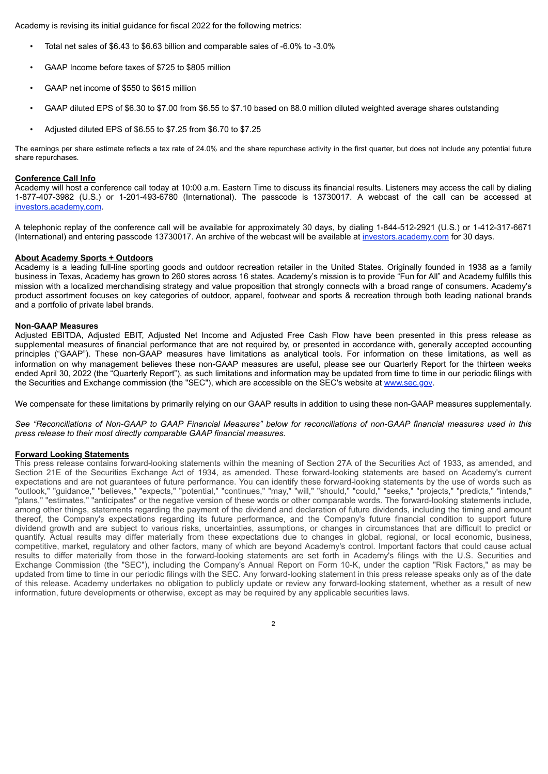Academy is revising its initial guidance for fiscal 2022 for the following metrics:

- Total net sales of \$6.43 to \$6.63 billion and comparable sales of -6.0% to -3.0%
- GAAP Income before taxes of \$725 to \$805 million
- GAAP net income of \$550 to \$615 million
- GAAP diluted EPS of \$6.30 to \$7.00 from \$6.55 to \$7.10 based on 88.0 million diluted weighted average shares outstanding
- Adjusted diluted EPS of \$6.55 to \$7.25 from \$6.70 to \$7.25

The earnings per share estimate reflects a tax rate of 24.0% and the share repurchase activity in the first quarter, but does not include any potential future share repurchases.

#### **Conference Call Info**

Academy will host a conference call today at 10:00 a.m. Eastern Time to discuss its financial results. Listeners may access the call by dialing 1-877-407-3982 (U.S.) or 1-201-493-6780 (International). The passcode is 13730017. A webcast of the call can be accessed at investors.academy.com.

A telephonic replay of the conference call will be available for approximately 30 days, by dialing 1-844-512-2921 (U.S.) or 1-412-317-6671 (International) and entering passcode 13730017. An archive of the webcast will be available at investors.academy.com for 30 days.

#### **About Academy Sports + Outdoors**

Academy is a leading full-line sporting goods and outdoor recreation retailer in the United States. Originally founded in 1938 as a family business in Texas, Academy has grown to 260 stores across 16 states. Academy's mission is to provide "Fun for All" and Academy fulfills this mission with a localized merchandising strategy and value proposition that strongly connects with a broad range of consumers. Academy's product assortment focuses on key categories of outdoor, apparel, footwear and sports & recreation through both leading national brands and a portfolio of private label brands.

#### **Non-GAAP Measures**

Adjusted EBITDA, Adjusted EBIT, Adjusted Net Income and Adjusted Free Cash Flow have been presented in this press release as supplemental measures of financial performance that are not required by, or presented in accordance with, generally accepted accounting principles ("GAAP"). These non-GAAP measures have limitations as analytical tools. For information on these limitations, as well as information on why management believes these non-GAAP measures are useful, please see our Quarterly Report for the thirteen weeks ended April 30, 2022 (the "Quarterly Report"), as such limitations and information may be updated from time to time in our periodic filings with the Securities and Exchange commission (the "SEC"), which are accessible on the SEC's website at www.sec.gov.

We compensate for these limitations by primarily relying on our GAAP results in addition to using these non-GAAP measures supplementally.

See "Reconciliations of Non-GAAP to GAAP Financial Measures" below for reconciliations of non-GAAP financial measures used in this *press release to their most directly comparable GAAP financial measures.*

#### **Forward Looking Statements**

This press release contains forward-looking statements within the meaning of Section 27A of the Securities Act of 1933, as amended, and Section 21E of the Securities Exchange Act of 1934, as amended. These forward-looking statements are based on Academy's current expectations and are not guarantees of future performance. You can identify these forward-looking statements by the use of words such as "outlook," "guidance," "believes," "expects," "potential," "continues," "may," "will," "should," "could," "seeks," "projects," "predicts," "intends," "plans," "estimates," "anticipates" or the negative version of these words or other comparable words. The forward-looking statements include, among other things, statements regarding the payment of the dividend and declaration of future dividends, including the timing and amount thereof, the Company's expectations regarding its future performance, and the Company's future financial condition to support future dividend growth and are subject to various risks, uncertainties, assumptions, or changes in circumstances that are difficult to predict or quantify. Actual results may differ materially from these expectations due to changes in global, regional, or local economic, business, competitive, market, regulatory and other factors, many of which are beyond Academy's control. Important factors that could cause actual results to differ materially from those in the forward-looking statements are set forth in Academy's filings with the U.S. Securities and Exchange Commission (the "SEC"), including the Company's Annual Report on Form 10-K, under the caption "Risk Factors," as may be updated from time to time in our periodic filings with the SEC. Any forward-looking statement in this press release speaks only as of the date of this release. Academy undertakes no obligation to publicly update or review any forward-looking statement, whether as a result of new information, future developments or otherwise, except as may be required by any applicable securities laws.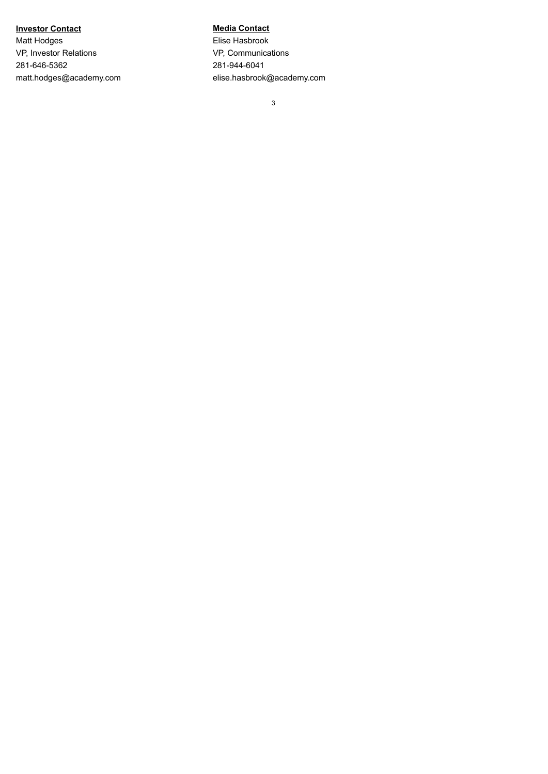# **Investor Contact Media Contact**

Matt Hodges **Elise Hasbrook** VP, Investor Relations VP, Communications 281-646-5362 281-944-6041

matt.hodges@academy.com elise.hasbrook@academy.com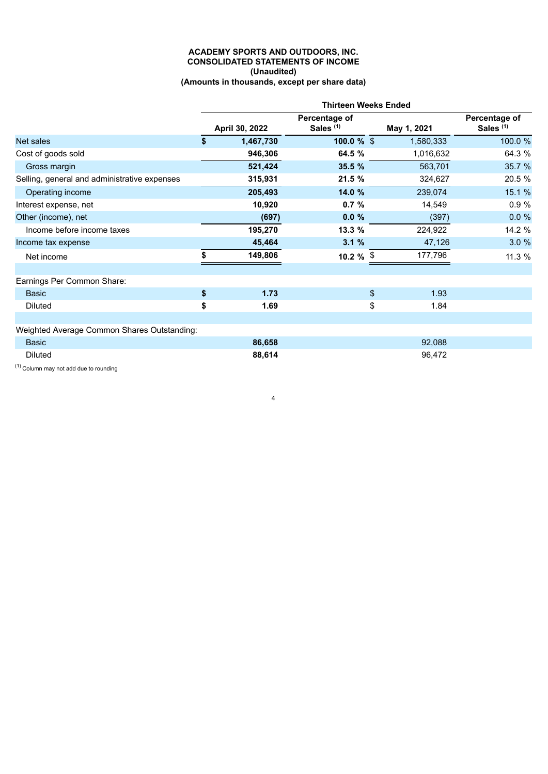#### **ACADEMY SPORTS AND OUTDOORS, INC. CONSOLIDATED STATEMENTS OF INCOME (Unaudited) (Amounts in thousands, except per share data)**

|                                              | <b>Thirteen Weeks Ended</b> |                |                                       |    |             |                                       |
|----------------------------------------------|-----------------------------|----------------|---------------------------------------|----|-------------|---------------------------------------|
|                                              |                             | April 30, 2022 | Percentage of<br>Sales <sup>(1)</sup> |    | May 1, 2021 | Percentage of<br>Sales <sup>(1)</sup> |
| Net sales                                    | \$                          | 1,467,730      | $100.0 \%$ \$                         |    | 1,580,333   | 100.0 %                               |
| Cost of goods sold                           |                             | 946,306        | 64.5 %                                |    | 1,016,632   | 64.3 %                                |
| Gross margin                                 |                             | 521,424        | 35.5 %                                |    | 563,701     | 35.7 %                                |
| Selling, general and administrative expenses |                             | 315,931        | 21.5 %                                |    | 324,627     | 20.5 %                                |
| Operating income                             |                             | 205,493        | 14.0 %                                |    | 239,074     | 15.1 %                                |
| Interest expense, net                        |                             | 10,920         | 0.7%                                  |    | 14,549      | 0.9%                                  |
| Other (income), net                          |                             | (697)          | 0.0%                                  |    | (397)       | 0.0%                                  |
| Income before income taxes                   |                             | 195,270        | 13.3 %                                |    | 224,922     | 14.2 %                                |
| Income tax expense                           |                             | 45,464         | 3.1%                                  |    | 47,126      | 3.0%                                  |
| Net income                                   |                             | 149,806        | 10.2 $%$ \$                           |    | 177,796     | 11.3 %                                |
| Earnings Per Common Share:                   |                             |                |                                       |    |             |                                       |
| <b>Basic</b>                                 | \$                          | 1.73           |                                       | \$ | 1.93        |                                       |
| <b>Diluted</b>                               | \$                          | 1.69           |                                       | \$ | 1.84        |                                       |
|                                              |                             |                |                                       |    |             |                                       |
| Weighted Average Common Shares Outstanding:  |                             |                |                                       |    |             |                                       |
| <b>Basic</b>                                 |                             | 86,658         |                                       |    | 92,088      |                                       |
| <b>Diluted</b>                               |                             | 88,614         |                                       |    | 96,472      |                                       |

4

 $(1)$  Column may not add due to rounding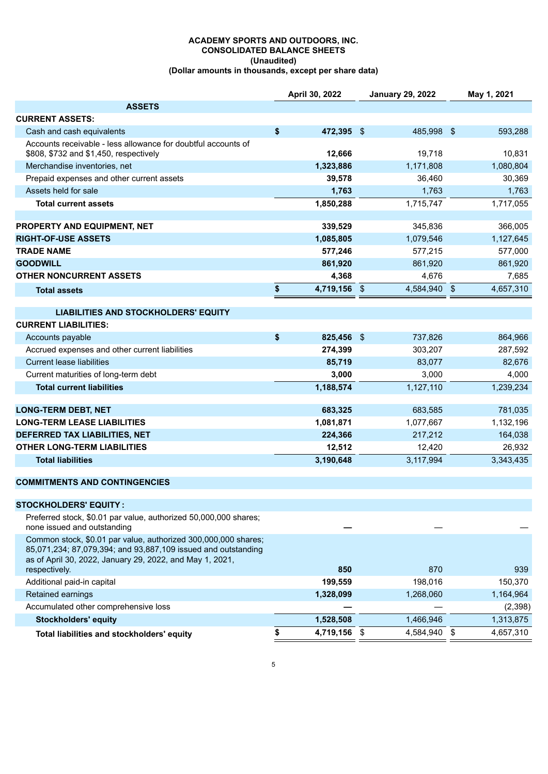# **ACADEMY SPORTS AND OUTDOORS, INC. CONSOLIDATED BALANCE SHEETS (Unaudited)**

| (Dollar amounts in thousands, except per share data) |  |
|------------------------------------------------------|--|
|------------------------------------------------------|--|

|                                                                                                                                                                                             | April 30, 2022     | <b>January 29, 2022</b> | May 1, 2021     |
|---------------------------------------------------------------------------------------------------------------------------------------------------------------------------------------------|--------------------|-------------------------|-----------------|
| <b>ASSETS</b>                                                                                                                                                                               |                    |                         |                 |
| <b>CURRENT ASSETS:</b>                                                                                                                                                                      |                    |                         |                 |
| Cash and cash equivalents                                                                                                                                                                   | \$<br>472,395 \$   | 485,998 \$              | 593,288         |
| Accounts receivable - less allowance for doubtful accounts of<br>\$808, \$732 and \$1,450, respectively                                                                                     | 12,666             | 19,718                  | 10,831          |
| Merchandise inventories, net                                                                                                                                                                | 1,323,886          | 1,171,808               | 1,080,804       |
| Prepaid expenses and other current assets                                                                                                                                                   | 39,578             | 36,460                  | 30,369          |
| Assets held for sale                                                                                                                                                                        | 1,763              | 1,763                   | 1,763           |
| <b>Total current assets</b>                                                                                                                                                                 | 1,850,288          | 1,715,747               | 1,717,055       |
|                                                                                                                                                                                             |                    |                         |                 |
| PROPERTY AND EQUIPMENT, NET                                                                                                                                                                 | 339,529            | 345,836                 | 366,005         |
| <b>RIGHT-OF-USE ASSETS</b>                                                                                                                                                                  | 1,085,805          | 1,079,546               | 1,127,645       |
| <b>TRADE NAME</b>                                                                                                                                                                           | 577,246            | 577,215                 | 577,000         |
| <b>GOODWILL</b>                                                                                                                                                                             | 861,920            | 861,920                 | 861,920         |
| <b>OTHER NONCURRENT ASSETS</b>                                                                                                                                                              | 4,368              | 4,676                   | 7,685           |
| <b>Total assets</b>                                                                                                                                                                         | \$<br>4,719,156 \$ | 4,584,940 \$            | 4,657,310       |
| <b>LIABILITIES AND STOCKHOLDERS' EQUITY</b>                                                                                                                                                 |                    |                         |                 |
| <b>CURRENT LIABILITIES:</b>                                                                                                                                                                 |                    |                         |                 |
| Accounts payable                                                                                                                                                                            | \$<br>825,456 \$   | 737,826                 | 864,966         |
| Accrued expenses and other current liabilities                                                                                                                                              | 274,399            | 303,207                 | 287,592         |
| <b>Current lease liabilities</b>                                                                                                                                                            | 85,719             | 83,077                  | 82,676          |
| Current maturities of long-term debt                                                                                                                                                        | 3,000              | 3,000                   | 4,000           |
| <b>Total current liabilities</b>                                                                                                                                                            | 1,188,574          | 1,127,110               | 1,239,234       |
| <b>LONG-TERM DEBT, NET</b>                                                                                                                                                                  | 683,325            | 683,585                 | 781,035         |
| <b>LONG-TERM LEASE LIABILITIES</b>                                                                                                                                                          | 1,081,871          | 1,077,667               | 1,132,196       |
| DEFERRED TAX LIABILITIES, NET                                                                                                                                                               | 224,366            | 217,212                 | 164,038         |
| <b>OTHER LONG-TERM LIABILITIES</b>                                                                                                                                                          | 12,512             | 12,420                  | 26,932          |
| <b>Total liabilities</b>                                                                                                                                                                    | 3,190,648          | 3,117,994               | 3,343,435       |
| <b>COMMITMENTS AND CONTINGENCIES</b>                                                                                                                                                        |                    |                         |                 |
| <b>STOCKHOLDERS' EQUITY:</b>                                                                                                                                                                |                    |                         |                 |
| Preferred stock, \$0.01 par value, authorized 50,000,000 shares;                                                                                                                            |                    |                         |                 |
| none issued and outstanding                                                                                                                                                                 |                    |                         |                 |
| Common stock, \$0.01 par value, authorized 300,000,000 shares;<br>85,071,234; 87,079,394; and 93,887,109 issued and outstanding<br>as of April 30, 2022, January 29, 2022, and May 1, 2021, |                    |                         |                 |
| respectively.                                                                                                                                                                               | 850                | 870                     | 939             |
| Additional paid-in capital                                                                                                                                                                  | 199,559            | 198,016                 | 150,370         |
| Retained earnings                                                                                                                                                                           | 1,328,099          | 1,268,060               | 1,164,964       |
| Accumulated other comprehensive loss                                                                                                                                                        |                    |                         | (2,398)         |
| <b>Stockholders' equity</b>                                                                                                                                                                 | 1,528,508          | 1,466,946               | 1,313,875       |
| Total liabilities and stockholders' equity                                                                                                                                                  | \$<br>4,719,156 \$ | 4,584,940               | \$<br>4,657,310 |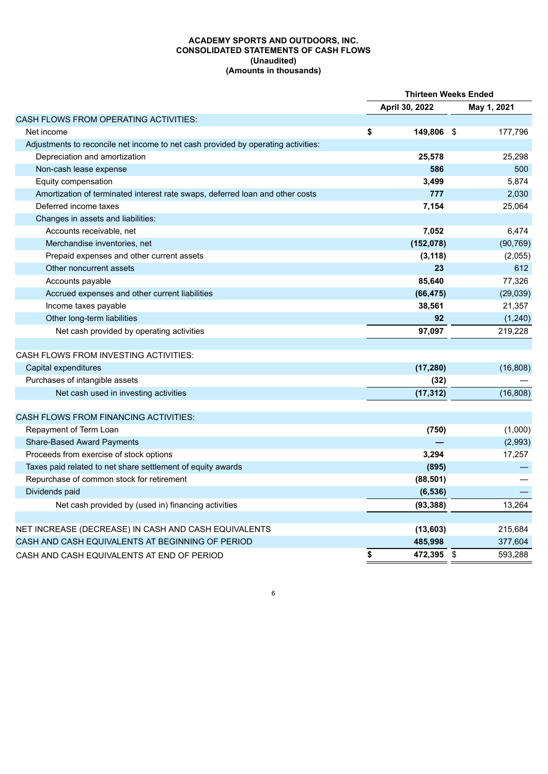## **ACADEMY SPORTS AND OUTDOORS, INC. CONSOLIDATED STATEMENTS OF CASH FLOWS (Unaudited) (Amounts in thousands)**

|                                                                                   | <b>Thirteen Weeks Ended</b> |                |             |           |
|-----------------------------------------------------------------------------------|-----------------------------|----------------|-------------|-----------|
|                                                                                   |                             | April 30, 2022 | May 1, 2021 |           |
| CASH FLOWS FROM OPERATING ACTIVITIES:                                             |                             |                |             |           |
| Net income                                                                        | \$                          | 149,806 \$     |             | 177,796   |
| Adjustments to reconcile net income to net cash provided by operating activities: |                             |                |             |           |
| Depreciation and amortization                                                     |                             | 25,578         |             | 25,298    |
| Non-cash lease expense                                                            |                             | 586            |             | 500       |
| Equity compensation                                                               |                             | 3,499          |             | 5,874     |
| Amortization of terminated interest rate swaps, deferred loan and other costs     |                             | 777            |             | 2,030     |
| Deferred income taxes                                                             |                             | 7,154          |             | 25,064    |
| Changes in assets and liabilities:                                                |                             |                |             |           |
| Accounts receivable, net                                                          |                             | 7,052          |             | 6,474     |
| Merchandise inventories, net                                                      |                             | (152,078)      |             | (90, 769) |
| Prepaid expenses and other current assets                                         |                             | (3, 118)       |             | (2,055)   |
| Other noncurrent assets                                                           |                             | 23             |             | 612       |
| Accounts payable                                                                  |                             | 85,640         |             | 77,326    |
| Accrued expenses and other current liabilities                                    |                             | (66, 475)      |             | (29, 039) |
| Income taxes payable                                                              |                             | 38,561         |             | 21,357    |
| Other long-term liabilities                                                       |                             | 92             |             | (1, 240)  |
| Net cash provided by operating activities                                         |                             | 97,097         |             | 219,228   |
| CASH FLOWS FROM INVESTING ACTIVITIES:                                             |                             |                |             |           |
| Capital expenditures                                                              |                             | (17, 280)      |             | (16, 808) |
| Purchases of intangible assets                                                    |                             | (32)           |             |           |
| Net cash used in investing activities                                             |                             | (17, 312)      |             | (16, 808) |
| <b>CASH FLOWS FROM FINANCING ACTIVITIES:</b>                                      |                             |                |             |           |
| Repayment of Term Loan                                                            |                             | (750)          |             | (1,000)   |
| Share-Based Award Payments                                                        |                             |                |             | (2,993)   |
| Proceeds from exercise of stock options                                           |                             | 3,294          |             | 17,257    |
| Taxes paid related to net share settlement of equity awards                       |                             | (895)          |             |           |
| Repurchase of common stock for retirement                                         |                             | (88, 501)      |             |           |
| Dividends paid                                                                    |                             | (6, 536)       |             |           |
| Net cash provided by (used in) financing activities                               |                             | (93, 388)      |             | 13,264    |
|                                                                                   |                             |                |             |           |
| NET INCREASE (DECREASE) IN CASH AND CASH EQUIVALENTS                              |                             | (13,603)       |             | 215,684   |
| CASH AND CASH EQUIVALENTS AT BEGINNING OF PERIOD                                  |                             | 485,998        |             | 377,604   |
| CASH AND CASH EQUIVALENTS AT END OF PERIOD                                        | \$                          | 472,395 \$     |             | 593,288   |
|                                                                                   |                             |                |             |           |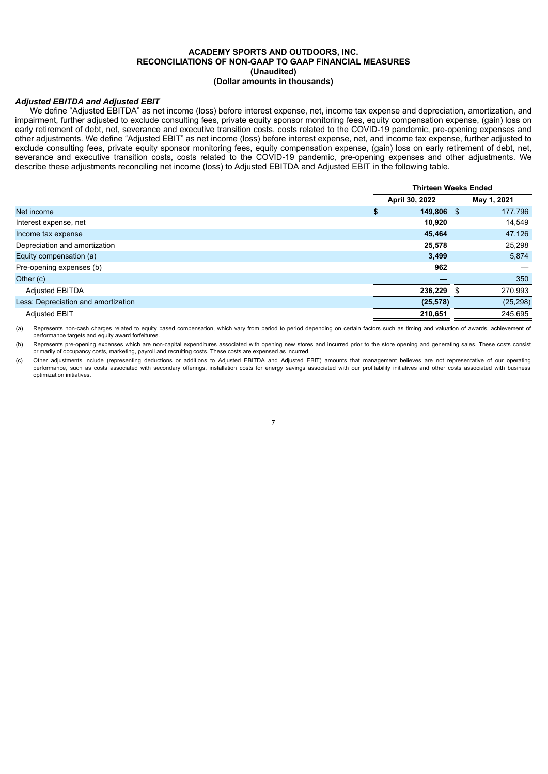#### **ACADEMY SPORTS AND OUTDOORS, INC. RECONCILIATIONS OF NON-GAAP TO GAAP FINANCIAL MEASURES (Unaudited) (Dollar amounts in thousands)**

### *Adjusted EBITDA and Adjusted EBIT*

We define "Adjusted EBITDA" as net income (loss) before interest expense, net, income tax expense and depreciation, amortization, and impairment, further adjusted to exclude consulting fees, private equity sponsor monitoring fees, equity compensation expense, (gain) loss on early retirement of debt, net, severance and executive transition costs, costs related to the COVID-19 pandemic, pre-opening expenses and other adjustments. We define "Adjusted EBIT" as net income (loss) before interest expense, net, and income tax expense, further adjusted to exclude consulting fees, private equity sponsor monitoring fees, equity compensation expense, (gain) loss on early retirement of debt, net, severance and executive transition costs, costs related to the COVID-19 pandemic, pre-opening expenses and other adjustments. We describe these adjustments reconciling net income (loss) to Adjusted EBITDA and Adjusted EBIT in the following table.

|                                     | <b>Thirteen Weeks Ended</b> |  |             |  |
|-------------------------------------|-----------------------------|--|-------------|--|
|                                     | April 30, 2022              |  | May 1, 2021 |  |
| Net income                          | 149,806 \$                  |  | 177,796     |  |
| Interest expense, net               | 10,920                      |  | 14,549      |  |
| Income tax expense                  | 45,464                      |  | 47,126      |  |
| Depreciation and amortization       | 25,578                      |  | 25,298      |  |
| Equity compensation (a)             | 3,499                       |  | 5,874       |  |
| Pre-opening expenses (b)            | 962                         |  |             |  |
| Other (c)                           |                             |  | 350         |  |
| Adjusted EBITDA                     | 236,229 \$                  |  | 270,993     |  |
| Less: Depreciation and amortization | (25, 578)                   |  | (25, 298)   |  |
| <b>Adjusted EBIT</b>                | 210,651                     |  | 245,695     |  |

(a) Represents non-cash charges related to equity based compensation, which vary from period to period depending on certain factors such as timing and valuation of awards, achievement of performance targets and equity award forfeitures.

(b) Represents pre-opening expenses which are non-capital expenditures associated with opening new stores and incurred prior to the store opening and generating sales. These costs consist primarily of occupancy costs, marketing, payroll and recruiting costs. These costs are expensed as incurred.

(c) Other adjustments include (representing deductions or additions to Adjusted EBITDA and Adjusted EBIT) amounts that management believes are not representative of our operating performance, such as costs associated with secondary offerings, installation costs for energy savings associated with our profitability initiatives and other costs associated with business optimization initiatives.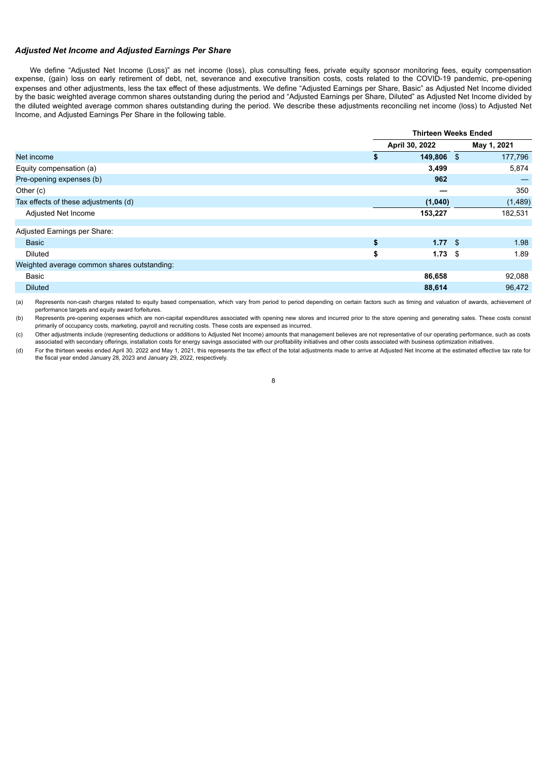#### *Adjusted Net Income and Adjusted Earnings Per Share*

We define "Adjusted Net Income (Loss)" as net income (loss), plus consulting fees, private equity sponsor monitoring fees, equity compensation expense, (gain) loss on early retirement of debt, net, severance and executive transition costs, costs related to the COVID-19 pandemic, pre-opening expenses and other adjustments, less the tax effect of these adjustments. We define "Adjusted Earnings per Share, Basic" as Adjusted Net Income divided by the basic weighted average common shares outstanding during the period and "Adjusted Earnings per Share, Diluted" as Adjusted Net Income divided by the diluted weighted average common shares outstanding during the period. We describe these adjustments reconciling net income (loss) to Adjusted Net Income, and Adjusted Earnings Per Share in the following table.

| <b>Thirteen Weeks Ended</b> |                |  |                                  |
|-----------------------------|----------------|--|----------------------------------|
|                             | April 30, 2022 |  | May 1, 2021                      |
| S                           |                |  | 177,796                          |
|                             | 3,499          |  | 5,874                            |
|                             | 962            |  |                                  |
|                             |                |  | 350                              |
|                             | (1,040)        |  | (1,489)                          |
|                             | 153,227        |  | 182,531                          |
|                             |                |  |                                  |
|                             |                |  |                                  |
| \$                          |                |  | 1.98                             |
| \$                          |                |  | 1.89                             |
|                             |                |  |                                  |
|                             | 86,658         |  | 92,088                           |
|                             | 88,614         |  | 96,472                           |
|                             |                |  | 149,806 \$<br>1.77S<br>$1.73$ \$ |

(a) Represents non-cash charges related to equity based compensation, which vary from period to period depending on certain factors such as timing and valuation of awards, achievement of performance targets and equity award forfeitures.

(b) Represents pre-opening expenses which are non-capital expenditures associated with opening new stores and incurred prior to the store opening and generating sales. These costs consist primarily of occupancy costs, marketing, payroll and recruiting costs. These costs are expensed as incurred.

(c) Other adjustments include (representing deductions or additions to Adjusted Net Income) amounts that management believes are not representative of our operating performance, such as costs associated with secondary offerings, installation costs for energy savings associated with our profitability initiatives and other costs associated with business optimization initiatives.

(d) For the thirteen weeks ended April 30, 2022 and May 1, 2021, this represents the tax effect of the total adjustments made to arrive at Adjusted Net Income at the estimated effective tax rate for the fiscal year ended January 28, 2023 and January 29, 2022, respectively.